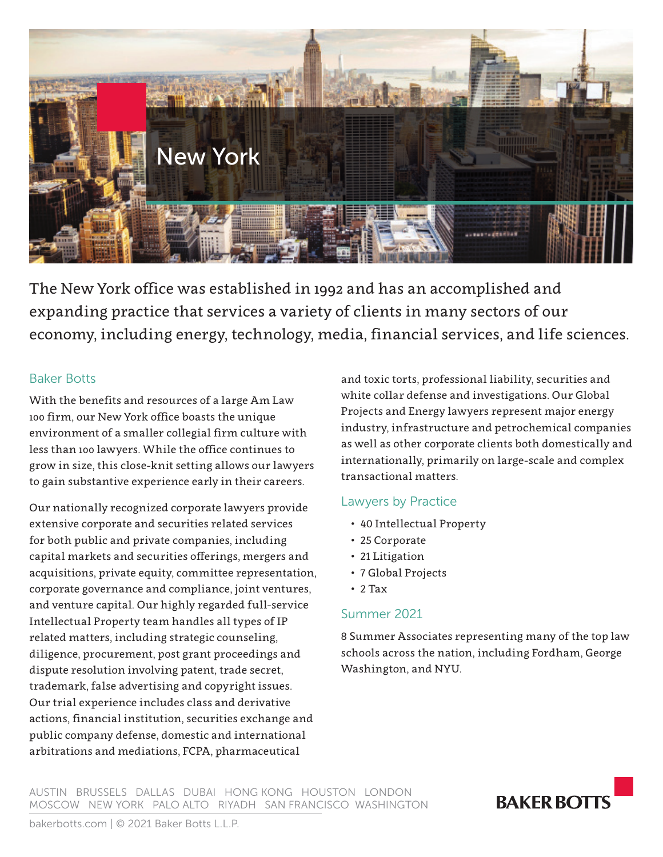

The New York office was established in 1992 and has an accomplished and expanding practice that services a variety of clients in many sectors of our economy, including energy, technology, media, financial services, and life sciences.

### Baker Botts

With the benefits and resources of a large Am Law 100 firm, our New York office boasts the unique environment of a smaller collegial firm culture with less than 100 lawyers. While the office continues to grow in size, this close-knit setting allows our lawyers to gain substantive experience early in their careers.

Our nationally recognized corporate lawyers provide extensive corporate and securities related services for both public and private companies, including capital markets and securities offerings, mergers and acquisitions, private equity, committee representation, corporate governance and compliance, joint ventures, and venture capital. Our highly regarded full-service Intellectual Property team handles all types of IP related matters, including strategic counseling, diligence, procurement, post grant proceedings and dispute resolution involving patent, trade secret, trademark, false advertising and copyright issues. Our trial experience includes class and derivative actions, financial institution, securities exchange and public company defense, domestic and international arbitrations and mediations, FCPA, pharmaceutical

and toxic torts, professional liability, securities and white collar defense and investigations. Our Global Projects and Energy lawyers represent major energy industry, infrastructure and petrochemical companies as well as other corporate clients both domestically and internationally, primarily on large-scale and complex transactional matters.

### Lawyers by Practice

- 40 Intellectual Property
- 25 Corporate
- 21 Litigation
- 7 Global Projects
- $\cdot$  2 Tax

### Summer 2021

8 Summer Associates representing many of the top law schools across the nation, including Fordham, George Washington, and NYU.